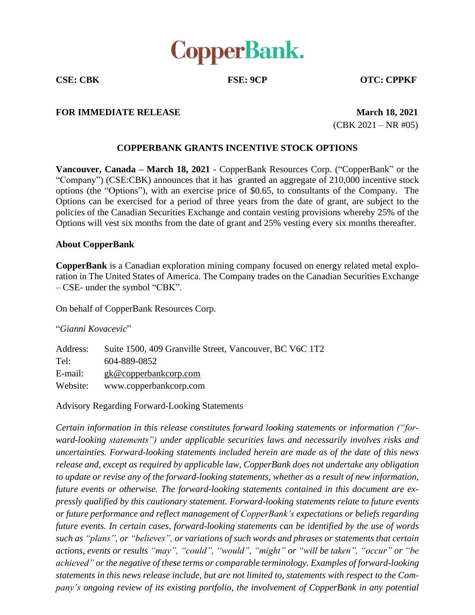

**CSE: CBK FSE: 9CP OTC: CPPKF**

## **FOR IMMEDIATE RELEASE March** 18, 2021

(CBK 2021 – NR #05)

## **COPPERBANK GRANTS INCENTIVE STOCK OPTIONS**

**Vancouver, Canada – March 18, 2021** - CopperBank Resources Corp. ("CopperBank" or the "Company") (CSE:CBK) announces that it has granted an aggregate of 210,000 incentive stock options (the "Options"), with an exercise price of \$0.65, to consultants of the Company. The Options can be exercised for a period of three years from the date of grant, are subject to the policies of the Canadian Securities Exchange and contain vesting provisions whereby 25% of the Options will vest six months from the date of grant and 25% vesting every six months thereafter.

## **About CopperBank**

**CopperBank** is a Canadian exploration mining company focused on energy related metal exploration in The United States of America. The Company trades on the Canadian Securities Exchange – CSE- under the symbol "CBK".

On behalf of CopperBank Resources Corp.

## "*Gianni Kovacevic*"

| Address: | Suite 1500, 409 Granville Street, Vancouver, BC V6C 1T2 |
|----------|---------------------------------------------------------|
| Tel:     | 604-889-0852                                            |
| E-mail:  | $g k@$ copperbankcorp.com                               |
| Website: | www.copperbankcorp.com                                  |

Advisory Regarding Forward-Looking Statements

*Certain information in this release constitutes forward looking statements or information ("forward-looking statements") under applicable securities laws and necessarily involves risks and uncertainties. Forward-looking statements included herein are made as of the date of this news release and, except as required by applicable law, CopperBank does not undertake any obligation to update or revise any of the forward-looking statements, whether as a result of new information, future events or otherwise. The forward-looking statements contained in this document are expressly qualified by this cautionary statement. Forward-looking statements relate to future events or future performance and reflect management of CopperBank's expectations or beliefs regarding future events. In certain cases, forward-looking statements can be identified by the use of words such as "plans", or "believes", or variations of such words and phrases or statements that certain actions, events or results "may", "could", "would", "might" or "will be taken", "occur" or "be achieved" or the negative of these terms or comparable terminology. Examples of forward-looking statements in this news release include, but are not limited to, statements with respect to the Company's ongoing review of its existing portfolio, the involvement of CopperBank in any potential*